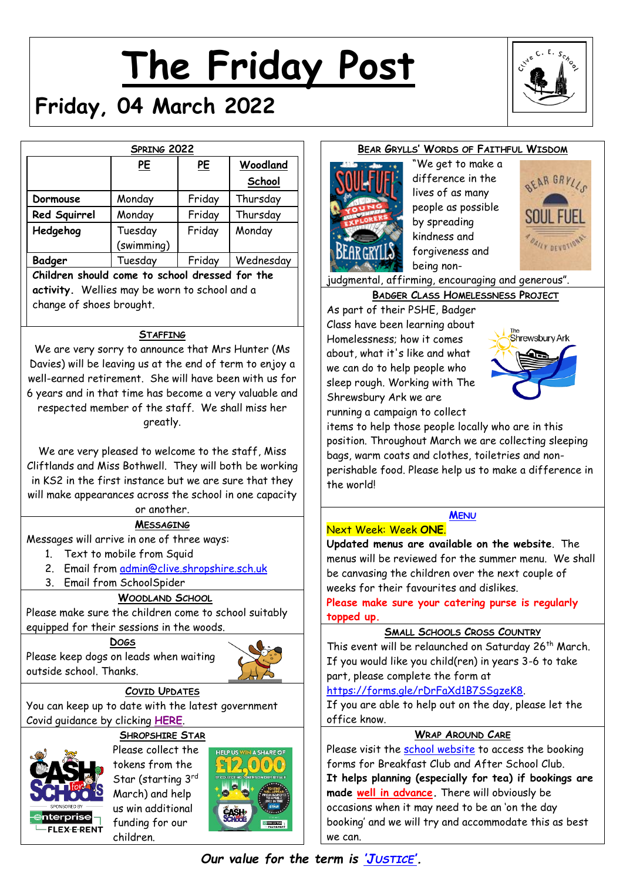# **The Friday Post**



# **Friday, 04 March 2022**

| SPRING 2022  |                       |           |           |  |
|--------------|-----------------------|-----------|-----------|--|
|              | <u>PE</u>             | <u>PE</u> | Woodland  |  |
|              |                       |           | School    |  |
| Dormouse     | Monday                | Friday    | Thursday  |  |
| Red Squirrel | Monday                | Friday    | Thursday  |  |
| Hedgehog     | Tuesday<br>(swimming) | Friday    | Monday    |  |
| Badger       | Tuesday               | Friday    | Wednesday |  |

**activity.** Wellies may be worn to school and a change of shoes brought.

# **STAFFING**

We are very sorry to announce that Mrs Hunter (Ms Davies) will be leaving us at the end of term to enjoy a well-earned retirement. She will have been with us for 6 years and in that time has become a very valuable and respected member of the staff. We shall miss her areatly.

We are very pleased to welcome to the staff, Miss Cliftlands and Miss Bothwell. They will both be working in KS2 in the first instance but we are sure that they will make appearances across the school in one capacity or another.

# **MESSAGING**

Messages will arrive in one of three ways:

- 1. Text to mobile from Squid
- 2. Email from [admin@clive.shropshire.sch.uk](mailto:admin@clive.shropshire.sch.uk)
- 3. Email from SchoolSpider

# **WOODLAND SCHOOL**

Please make sure the children come to school suitably equipped for their sessions in the woods.

# **DOGS** Please keep dogs on leads when waiting

outside school. Thanks.

# **COVID UPDATES**

You can keep up to date with the latest government Covid guidance by clicking **[HERE](https://www.gov.uk/government/publications/what-parents-and-carers-need-to-know-about-early-years-providers-schools-and-colleges-during-the-coronavirus-covid-19-outbreak?utm_source=14%20December%202021%20C19&utm_medium=Daily%20Email%20C19&utm_campaign=DfE%20C19)**.

# **SHROPSHIRE STAR**

Please collect the tokens from the Star (starting 3rd March) and help us win additional funding for our **FI FX-F-RENT** children.



# **BEAR GRYLLS' WORDS OF FAITHFUL WISDOM**



"We get to make a difference in the lives of as many people as possible by spreading kindness and forgiveness and being non-



judgmental, affirming, encouraging and generous".

# **BADGER CLASS HOMELESSNESS PROJECT**

As part of their PSHE, Badger Class have been learning about Homelessness; how it comes about, what it's like and what we can do to help people who sleep rough. Working with The Shrewsbury Ark we are running a campaign to collect



items to help those people locally who are in this position. Throughout March we are collecting sleeping bags, warm coats and clothes, toiletries and nonperishable food. Please help us to make a difference in the world!

# **M[ENU](http://www.clivecofeprimaryschool.co.uk/page/school-meals/26275)**

# Next Week: Week **ONE**.

**Updated menus are available on the website**. The menus will be reviewed for the summer menu. We shall be canvasing the children over the next couple of weeks for their favourites and dislikes.

**Please make sure your catering purse is regularly topped up.**

# **SMALL SCHOOLS CROSS COUNTRY**

This event will be relaunched on Saturday 26<sup>th</sup> March. If you would like you child(ren) in years 3-6 to take part, please complete the form at

[https://forms.gle/rDrFaXd1B7SSgzeK8.](https://forms.gle/rDrFaXd1B7SSgzeK8)

If you are able to help out on the day, please let the office know.

# **WRAP AROUND CARE**

Please visit the [school website](http://www.clivecofeprimaryschool.co.uk/page/wrap-around-care/85252) to access the booking forms for Breakfast Club and After School Club. **It helps planning (especially for tea) if bookings are made well in advance.** There will obviously be occasions when it may need to be an 'on the day booking' and we will try and accommodate this as best we can.

# *Our value for the term is 'J[USTICE](http://www.clivecofeprimaryschool.co.uk/serve_file/5298783)'.*